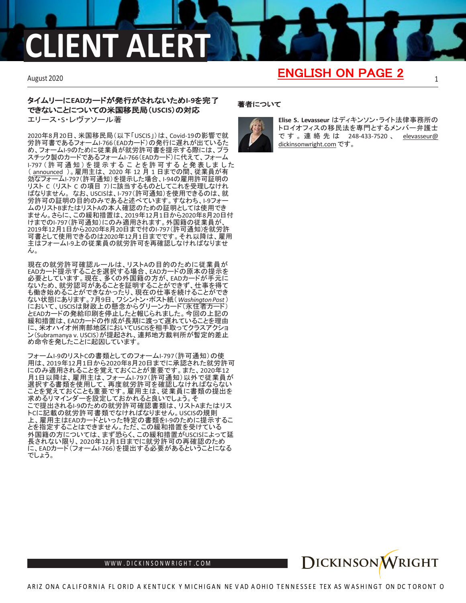# FNT AL

### August 2020 1 ENGLISH ON PAGE 2

## タイムリーに**EAD**カードが発行がされないため**I-9**を完了 できないことについての米国移民局(**USCIS**)の対応 エリース・S・レヴァソール著

2020年8月20日、米国移民局(以下「USCIS」)は、Covid-19の影響で就 労許可書であるフォームI-766(EADカード)の発行に遅れが出ているた め、フォームI-9のために従業員が就労許可書を提示する際には、プラ スチック製のカードであるフォームI-766(EADカード)に代えて、フォーム I-797 (許可通知) を提示することを許可すると発表しました ( [announced](https://www.uscis.gov/i-9-central/form-i-9-verification-during-ead-production-delays-due-to-covid-19) )。雇用主は、 2020 年 12 月 1 日までの間、従業員が有 効なフォームI-797(許可通知)を提示した場合、I-94の雇用許可証明の リスト C (リスト C の項目 7)に該当するものとしてこれを受理しなけれ ばなりません。 なお、USCISは、I-797(許可通知)を使用できるのは、就 労許可の証明の目的のみであると述べています。すなわち、I-9フォ ムのリストBまたはリストAの本人確認のための証明としては使用でき ません。さらに、この緩和措置は、2019年12月1日から2020年8月20日付 けまでのI-797(許可通知)にのみ適用されます。外国籍の従業員が、 2019年12月1日から2020年8月20日まで付のI-797(許可通知)を就労許 可書として使用できるのは2020年12月1日までです。それ以降は、雇用 主はフォームI-9上の従業員の就労許可を再確認しなければなりませ ん。

現在の就労許可確認ルールは、リストAの目的のために従業員が EADカード提示することを選択する場合、EADカードの原本の提示を 必要としています。現在、多くの外国籍の方が、EADカードが手元に ないため、就労認可があることを証明することができず、仕事を得て も働き始めることができなかったり、現在の仕事を続けることができ ない状態にあります。7月9日、ワシントン・ポスト紙(*[WashingtonPost](https://www.washingtonpost.com/opinions/how-the-trump-administration-is-turning-legal-immigrants-into-undocumented-ones/2020/07/09/15c1cbf6-c203-11ea-9fdd-b7ac6b051dc8_story.html)* ) において、USCISは財政上の懸念からグリーンカード(永住者カード) とEADカードの発給印刷を停止したと報じられました。今回の上記の 緩和措置は、EADカードの作成が長期に渡って遅れていることを理由 に、米オハイオ州南部地区においてUSCISを相手取ってクラスアクショ ン(Subramanya v. USCIS)が提起され、連邦地方裁判所が暫定的差止 め命令を発したことに起因しています。

フォームI-9のリストCの書類としてのフォームI-797(許可通知)の使 用は、2019年12月1日から2020年8月20日までに承認された就労許可 にのみ適用されることを覚えておくことが重要です。また、2020年12 月1日以降は、雇用主は、フォームI-797(許可通知)以外で従業員が 選択する書類を使用して、再度就労許可を確認しなければならない ことを覚えておくことも重要です。雇用主は、従業員に書類の提出を 求めるリマインダーを設定しておかれると良いでしょう。そ こで提出されるI-9のための就労許可確認書類は、リストAまたはリス トCに記載の就労許可書類でなければなりません。USCISの規則 上、雇用主はEADカードといった特定の書類をI-9のために提示するこ とを指定することはできません。ただ、この緩和措置を受けている 外国籍の方については、まず恐らく、この緩和措置がUSCISによって延 長されない限り、2020年12月1日までに就労許可の再確認のため に、EADカード(フォームI-766)を提出する必要があるということになる でしょう。

### 著者について



**Elise S. Levasseur** はディキンソン・ライト法律事務所の トロイオフィスの移民法を専門とするメンバー弁護士 で す 。 連絡先 は 248-433-7520 、 [elevasseur@](mailto:elevasseur@dickinsonwright.com) [dickinsonwright.com](mailto:elevasseur@dickinsonwright.com) です。



WWW[.DICKINSONWRIGHT](http://www.dickinsonwright.com/).COM